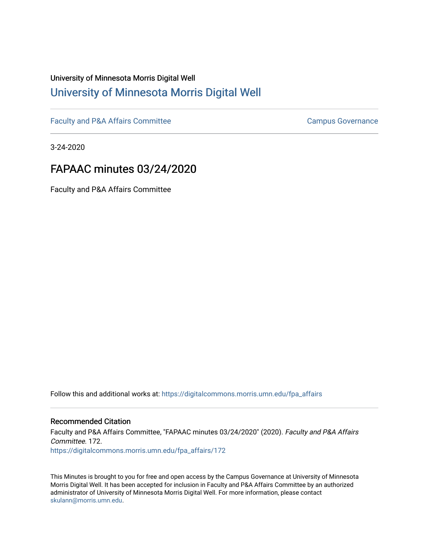# University of Minnesota Morris Digital Well [University of Minnesota Morris Digital Well](https://digitalcommons.morris.umn.edu/)

[Faculty and P&A Affairs Committee](https://digitalcommons.morris.umn.edu/fpa_affairs) [Campus Governance](https://digitalcommons.morris.umn.edu/campgov) Campus Governance

3-24-2020

## FAPAAC minutes 03/24/2020

Faculty and P&A Affairs Committee

Follow this and additional works at: [https://digitalcommons.morris.umn.edu/fpa\\_affairs](https://digitalcommons.morris.umn.edu/fpa_affairs?utm_source=digitalcommons.morris.umn.edu%2Ffpa_affairs%2F172&utm_medium=PDF&utm_campaign=PDFCoverPages)

## Recommended Citation

Faculty and P&A Affairs Committee, "FAPAAC minutes 03/24/2020" (2020). Faculty and P&A Affairs Committee. 172. [https://digitalcommons.morris.umn.edu/fpa\\_affairs/172](https://digitalcommons.morris.umn.edu/fpa_affairs/172?utm_source=digitalcommons.morris.umn.edu%2Ffpa_affairs%2F172&utm_medium=PDF&utm_campaign=PDFCoverPages)

This Minutes is brought to you for free and open access by the Campus Governance at University of Minnesota Morris Digital Well. It has been accepted for inclusion in Faculty and P&A Affairs Committee by an authorized administrator of University of Minnesota Morris Digital Well. For more information, please contact [skulann@morris.umn.edu.](mailto:skulann@morris.umn.edu)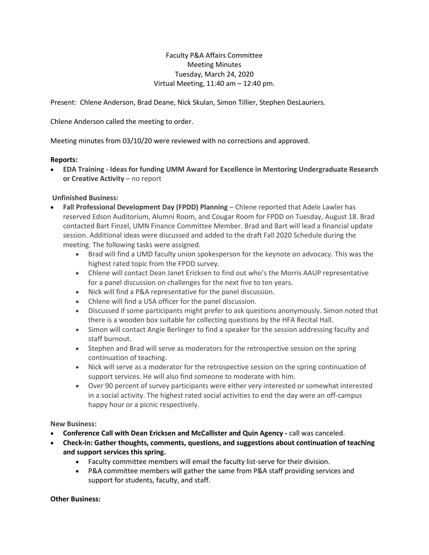Faculty P&A Affairs Committee Meeting Minutes Tuesday, March 24, 2020 Virtual Meeting, 11:40 am – 12:40 pm.

Present: Chlene Anderson, Brad Deane, Nick Skulan, Simon Tillier, Stephen DesLauriers.

Chlene Anderson called the meeting to order.

Meeting minutes from 03/10/20 were reviewed with no corrections and approved.

#### **Reports:**

 **EDA Training - Ideas for funding UMM Award for Excellence in Mentoring Undergraduate Research or Creative Activity** – no report

## **Unfinished Business:**

- **Fall Professional Development Day (FPDD) Planning** Chlene reported that Adele Lawler has reserved Edson Auditorium, Alumni Room, and Cougar Room for FPDD on Tuesday, August 18. Brad contacted Bart Finzel, UMN Finance Committee Member. Brad and Bart will lead a financial update session. Additional ideas were discussed and added to the draft Fall 2020 Schedule during the meeting. The following tasks were assigned.
	- Brad will find a UMD faculty union spokesperson for the keynote on advocacy. This was the highest rated topic from the FPDD survey.
	- Chlene will contact Dean Janet Ericksen to find out who's the Morris AAUP representative for a panel discussion on challenges for the next five to ten years.
	- Nick will find a P&A representative for the panel discussion.
	- Chlene will find a USA officer for the panel discussion.
	- Discussed if some participants might prefer to ask questions anonymously. Simon noted that there is a wooden box suitable for collecting questions by the HFA Recital Hall.
	- Simon will contact Angie Berlinger to find a speaker for the session addressing faculty and staff burnout.
	- Stephen and Brad will serve as moderators for the retrospective session on the spring continuation of teaching.
	- Nick will serve as a moderator for the retrospective session on the spring continuation of support services. He will also find someone to moderate with him.
	- Over 90 percent of survey participants were either very interested or somewhat interested in a social activity. The highest rated social activities to end the day were an off-campus happy hour or a picnic respectively.

#### **New Business:**

- **Conference Call with Dean Ericksen and McCallister and Quin Agency -** call was canceled.
- **Check-in: Gather thoughts, comments, questions, and suggestions about continuation of teaching and support services this spring.**
	- Faculty committee members will email the faculty list-serve for their division.
	- P&A committee members will gather the same from P&A staff providing services and support for students, faculty, and staff.

#### **Other Business:**